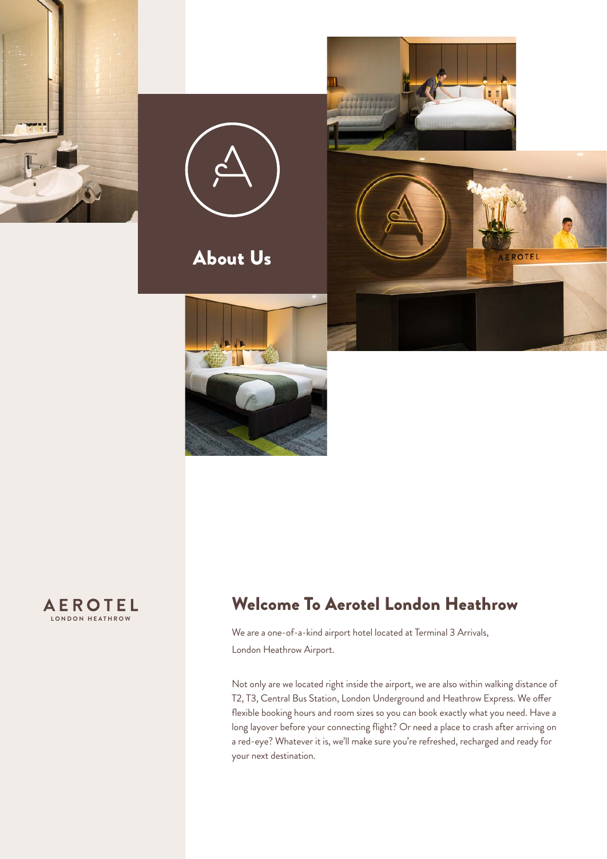









# Welcome To Aerotel London Heathrow

We are a one-of-a-kind airport hotel located at Terminal 3 Arrivals, London Heathrow Airport.

Not only are we located right inside the airport, we are also within walking distance of T2, T3, Central Bus Station, London Underground and Heathrow Express. We offer flexible booking hours and room sizes so you can book exactly what you need. Have a long layover before your connecting flight? Or need a place to crash after arriving on a red-eye? Whatever it is, we'll make sure you're refreshed, recharged and ready for your next destination.